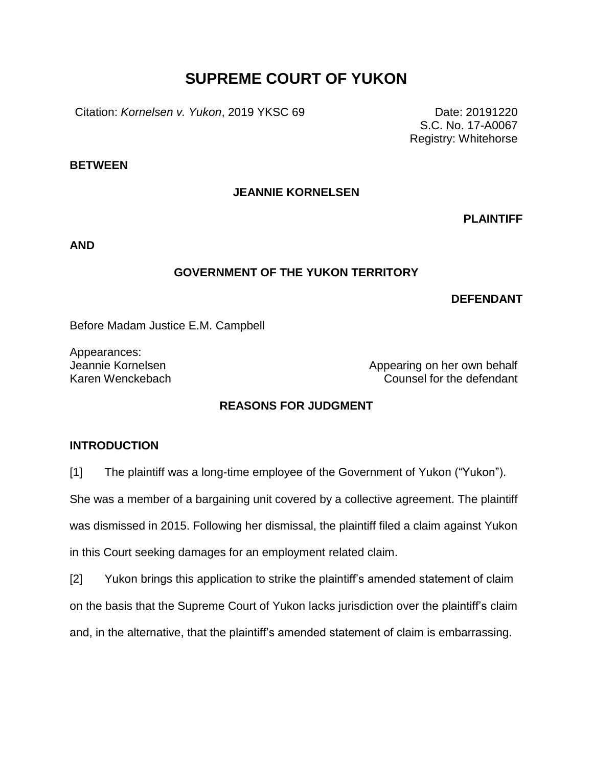# **SUPREME COURT OF YUKON**

Citation: *Kornelsen v. Yukon*, 2019 YKSC 69 Date: 20191220

S.C. No. 17-A0067 Registry: Whitehorse

**BETWEEN**

#### **JEANNIE KORNELSEN**

**PLAINTIFF**

**AND**

#### **GOVERNMENT OF THE YUKON TERRITORY**

#### **DEFENDANT**

Before Madam Justice E.M. Campbell

Appearances:

Jeannie Kornelsen Appearing on her own behalf Karen Wenckebach Counsel for the defendant

## **REASONS FOR JUDGMENT**

#### **INTRODUCTION**

[1] The plaintiff was a long-time employee of the Government of Yukon ("Yukon").

She was a member of a bargaining unit covered by a collective agreement. The plaintiff

was dismissed in 2015. Following her dismissal, the plaintiff filed a claim against Yukon

in this Court seeking damages for an employment related claim.

[2] Yukon brings this application to strike the plaintiff's amended statement of claim on the basis that the Supreme Court of Yukon lacks jurisdiction over the plaintiff's claim and, in the alternative, that the plaintiff's amended statement of claim is embarrassing.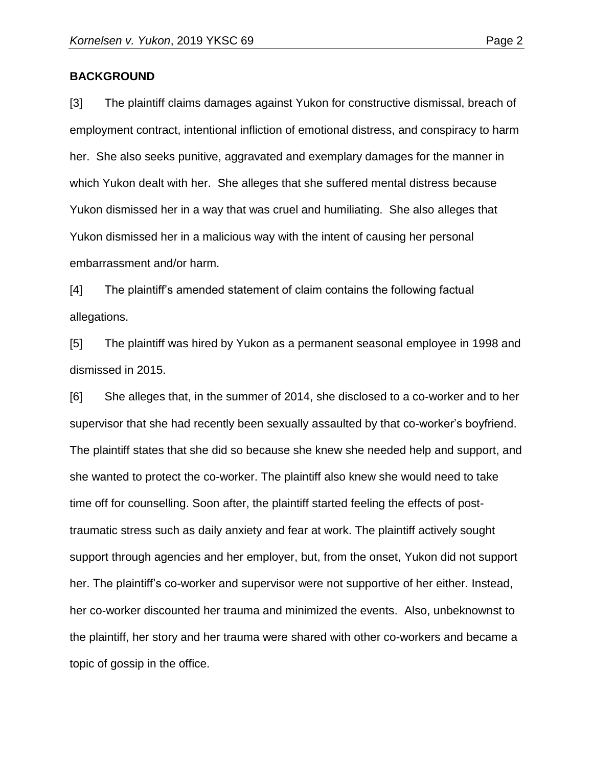#### **BACKGROUND**

[3] The plaintiff claims damages against Yukon for constructive dismissal, breach of employment contract, intentional infliction of emotional distress, and conspiracy to harm her. She also seeks punitive, aggravated and exemplary damages for the manner in which Yukon dealt with her. She alleges that she suffered mental distress because Yukon dismissed her in a way that was cruel and humiliating. She also alleges that Yukon dismissed her in a malicious way with the intent of causing her personal embarrassment and/or harm.

[4] The plaintiff's amended statement of claim contains the following factual allegations.

[5] The plaintiff was hired by Yukon as a permanent seasonal employee in 1998 and dismissed in 2015.

[6] She alleges that, in the summer of 2014, she disclosed to a co-worker and to her supervisor that she had recently been sexually assaulted by that co-worker's boyfriend. The plaintiff states that she did so because she knew she needed help and support, and she wanted to protect the co-worker. The plaintiff also knew she would need to take time off for counselling. Soon after, the plaintiff started feeling the effects of posttraumatic stress such as daily anxiety and fear at work. The plaintiff actively sought support through agencies and her employer, but, from the onset, Yukon did not support her. The plaintiff's co-worker and supervisor were not supportive of her either. Instead, her co-worker discounted her trauma and minimized the events. Also, unbeknownst to the plaintiff, her story and her trauma were shared with other co-workers and became a topic of gossip in the office.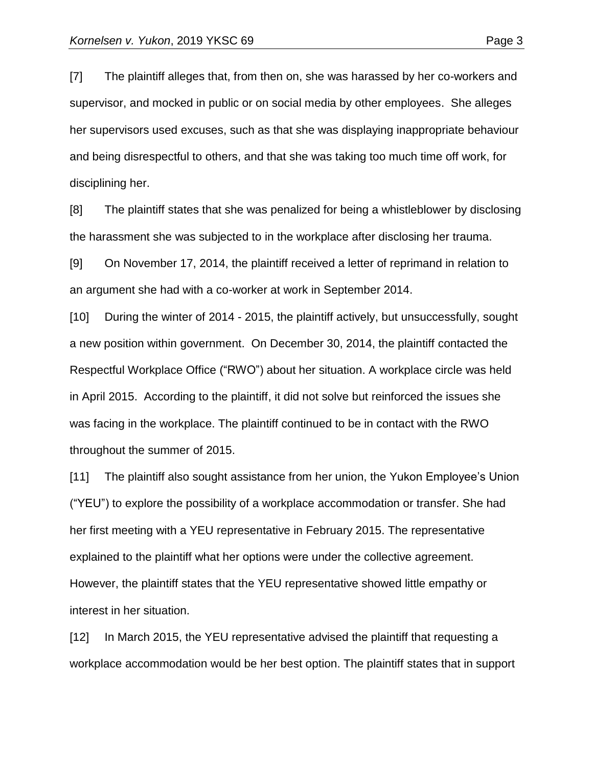[7] The plaintiff alleges that, from then on, she was harassed by her co-workers and supervisor, and mocked in public or on social media by other employees. She alleges her supervisors used excuses, such as that she was displaying inappropriate behaviour and being disrespectful to others, and that she was taking too much time off work, for disciplining her.

[8] The plaintiff states that she was penalized for being a whistleblower by disclosing the harassment she was subjected to in the workplace after disclosing her trauma.

[9] On November 17, 2014, the plaintiff received a letter of reprimand in relation to an argument she had with a co-worker at work in September 2014.

[10] During the winter of 2014 - 2015, the plaintiff actively, but unsuccessfully, sought a new position within government. On December 30, 2014, the plaintiff contacted the Respectful Workplace Office ("RWO") about her situation. A workplace circle was held in April 2015. According to the plaintiff, it did not solve but reinforced the issues she was facing in the workplace. The plaintiff continued to be in contact with the RWO throughout the summer of 2015.

[11] The plaintiff also sought assistance from her union, the Yukon Employee's Union ("YEU") to explore the possibility of a workplace accommodation or transfer. She had her first meeting with a YEU representative in February 2015. The representative explained to the plaintiff what her options were under the collective agreement. However, the plaintiff states that the YEU representative showed little empathy or interest in her situation.

[12] In March 2015, the YEU representative advised the plaintiff that requesting a workplace accommodation would be her best option. The plaintiff states that in support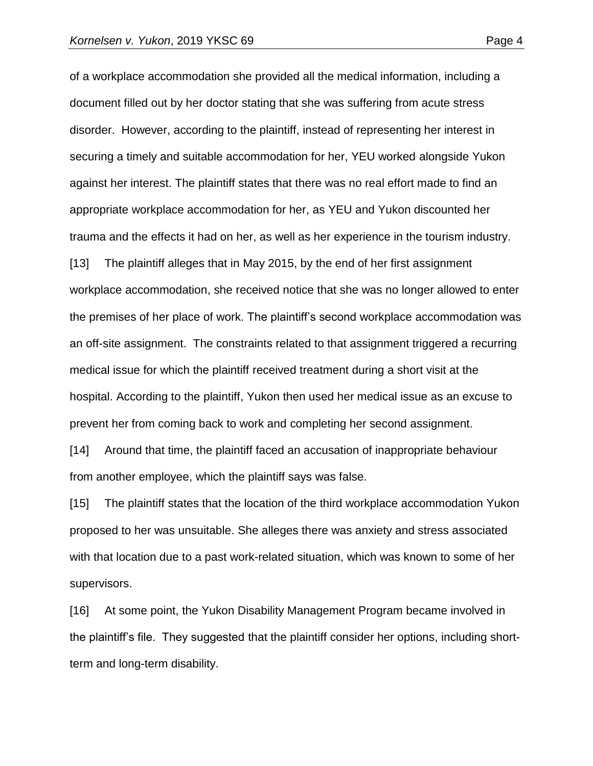of a workplace accommodation she provided all the medical information, including a document filled out by her doctor stating that she was suffering from acute stress disorder. However, according to the plaintiff, instead of representing her interest in securing a timely and suitable accommodation for her, YEU worked alongside Yukon against her interest. The plaintiff states that there was no real effort made to find an appropriate workplace accommodation for her, as YEU and Yukon discounted her trauma and the effects it had on her, as well as her experience in the tourism industry. [13] The plaintiff alleges that in May 2015, by the end of her first assignment workplace accommodation, she received notice that she was no longer allowed to enter the premises of her place of work. The plaintiff's second workplace accommodation was an off-site assignment. The constraints related to that assignment triggered a recurring

medical issue for which the plaintiff received treatment during a short visit at the hospital. According to the plaintiff, Yukon then used her medical issue as an excuse to prevent her from coming back to work and completing her second assignment.

[14] Around that time, the plaintiff faced an accusation of inappropriate behaviour from another employee, which the plaintiff says was false.

[15] The plaintiff states that the location of the third workplace accommodation Yukon proposed to her was unsuitable. She alleges there was anxiety and stress associated with that location due to a past work-related situation, which was known to some of her supervisors.

[16] At some point, the Yukon Disability Management Program became involved in the plaintiff's file. They suggested that the plaintiff consider her options, including shortterm and long-term disability.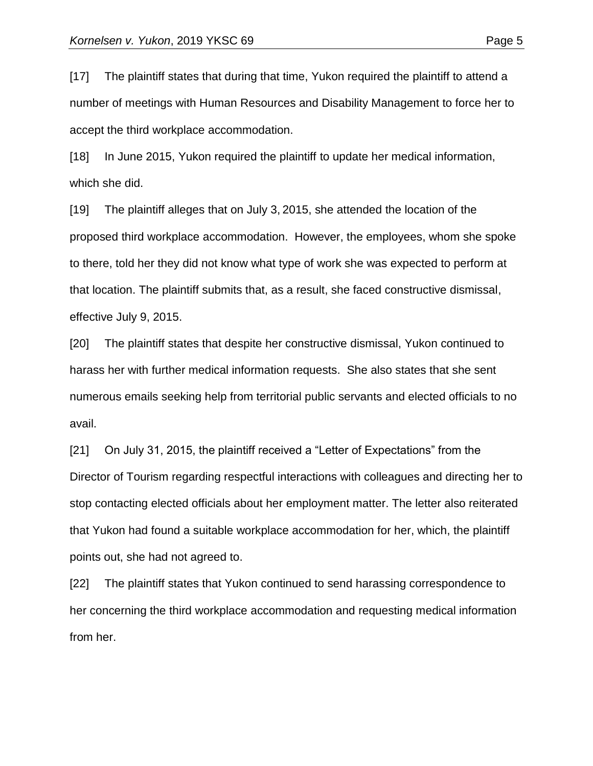[17] The plaintiff states that during that time, Yukon required the plaintiff to attend a number of meetings with Human Resources and Disability Management to force her to accept the third workplace accommodation.

[18] In June 2015, Yukon required the plaintiff to update her medical information, which she did.

[19] The plaintiff alleges that on July 3, 2015, she attended the location of the proposed third workplace accommodation. However, the employees, whom she spoke to there, told her they did not know what type of work she was expected to perform at that location. The plaintiff submits that, as a result, she faced constructive dismissal, effective July 9, 2015.

[20] The plaintiff states that despite her constructive dismissal, Yukon continued to harass her with further medical information requests. She also states that she sent numerous emails seeking help from territorial public servants and elected officials to no avail.

[21] On July 31, 2015, the plaintiff received a "Letter of Expectations" from the Director of Tourism regarding respectful interactions with colleagues and directing her to stop contacting elected officials about her employment matter. The letter also reiterated that Yukon had found a suitable workplace accommodation for her, which, the plaintiff points out, she had not agreed to.

[22] The plaintiff states that Yukon continued to send harassing correspondence to her concerning the third workplace accommodation and requesting medical information from her.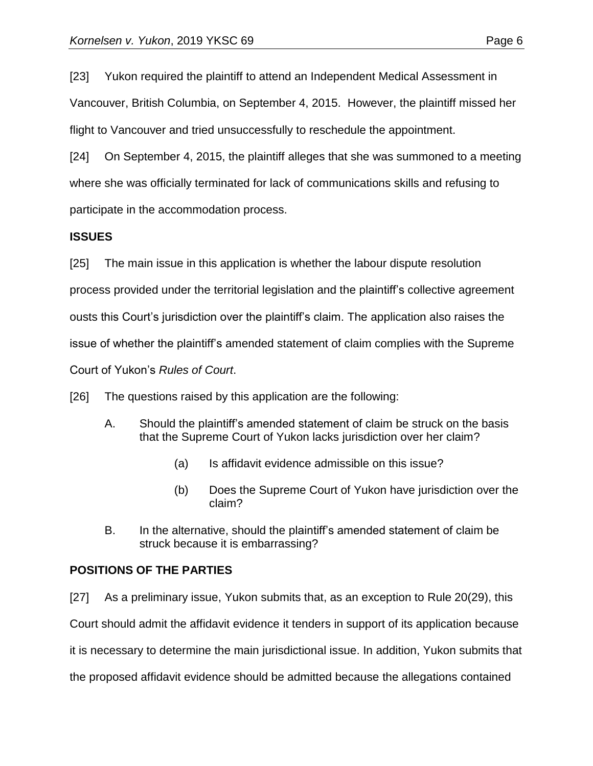[23] Yukon required the plaintiff to attend an Independent Medical Assessment in Vancouver, British Columbia, on September 4, 2015. However, the plaintiff missed her flight to Vancouver and tried unsuccessfully to reschedule the appointment.

[24] On September 4, 2015, the plaintiff alleges that she was summoned to a meeting where she was officially terminated for lack of communications skills and refusing to participate in the accommodation process.

#### **ISSUES**

[25] The main issue in this application is whether the labour dispute resolution process provided under the territorial legislation and the plaintiff's collective agreement ousts this Court's jurisdiction over the plaintiff's claim. The application also raises the issue of whether the plaintiff's amended statement of claim complies with the Supreme Court of Yukon's *Rules of Court*.

[26] The questions raised by this application are the following:

- A. Should the plaintiff's amended statement of claim be struck on the basis that the Supreme Court of Yukon lacks jurisdiction over her claim?
	- (a) Is affidavit evidence admissible on this issue?
	- (b) Does the Supreme Court of Yukon have jurisdiction over the claim?
- B. In the alternative, should the plaintiff's amended statement of claim be struck because it is embarrassing?

#### **POSITIONS OF THE PARTIES**

[27] As a preliminary issue, Yukon submits that, as an exception to Rule 20(29), this Court should admit the affidavit evidence it tenders in support of its application because it is necessary to determine the main jurisdictional issue. In addition, Yukon submits that the proposed affidavit evidence should be admitted because the allegations contained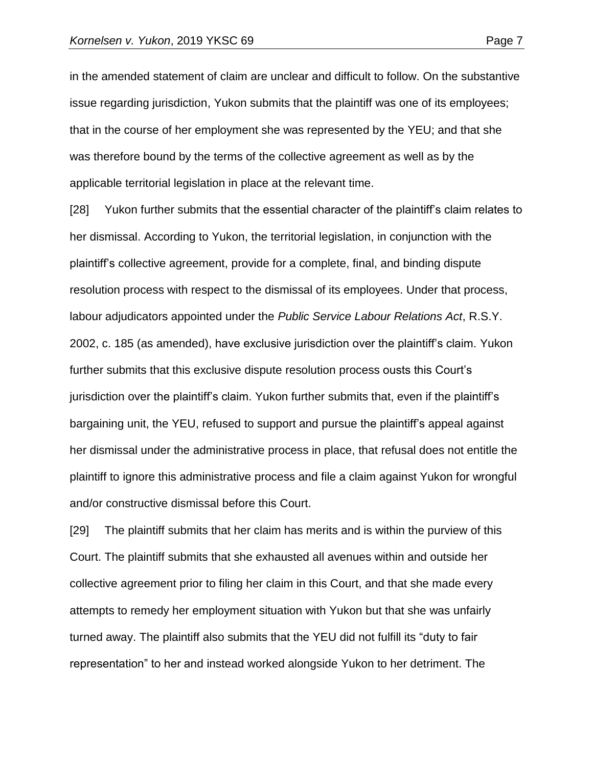in the amended statement of claim are unclear and difficult to follow. On the substantive issue regarding jurisdiction, Yukon submits that the plaintiff was one of its employees; that in the course of her employment she was represented by the YEU; and that she was therefore bound by the terms of the collective agreement as well as by the applicable territorial legislation in place at the relevant time.

[28] Yukon further submits that the essential character of the plaintiff's claim relates to her dismissal. According to Yukon, the territorial legislation, in conjunction with the plaintiff's collective agreement, provide for a complete, final, and binding dispute resolution process with respect to the dismissal of its employees. Under that process, labour adjudicators appointed under the *Public Service Labour Relations Act*, R.S.Y. 2002, c. 185 (as amended), have exclusive jurisdiction over the plaintiff's claim. Yukon further submits that this exclusive dispute resolution process ousts this Court's jurisdiction over the plaintiff's claim. Yukon further submits that, even if the plaintiff's bargaining unit, the YEU, refused to support and pursue the plaintiff's appeal against her dismissal under the administrative process in place, that refusal does not entitle the plaintiff to ignore this administrative process and file a claim against Yukon for wrongful and/or constructive dismissal before this Court.

[29] The plaintiff submits that her claim has merits and is within the purview of this Court. The plaintiff submits that she exhausted all avenues within and outside her collective agreement prior to filing her claim in this Court, and that she made every attempts to remedy her employment situation with Yukon but that she was unfairly turned away. The plaintiff also submits that the YEU did not fulfill its "duty to fair representation" to her and instead worked alongside Yukon to her detriment. The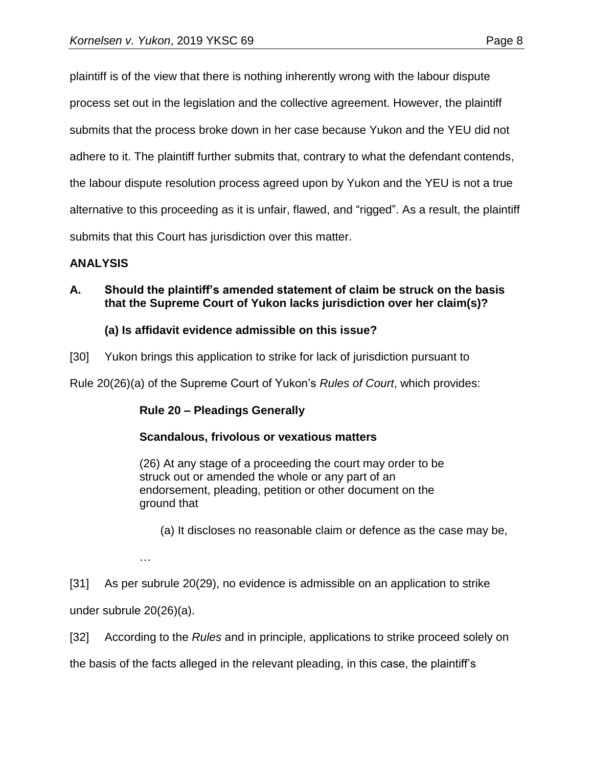plaintiff is of the view that there is nothing inherently wrong with the labour dispute process set out in the legislation and the collective agreement. However, the plaintiff submits that the process broke down in her case because Yukon and the YEU did not adhere to it. The plaintiff further submits that, contrary to what the defendant contends, the labour dispute resolution process agreed upon by Yukon and the YEU is not a true alternative to this proceeding as it is unfair, flawed, and "rigged". As a result, the plaintiff submits that this Court has jurisdiction over this matter.

#### **ANALYSIS**

**A. Should the plaintiff's amended statement of claim be struck on the basis that the Supreme Court of Yukon lacks jurisdiction over her claim(s)?** 

#### **(a) Is affidavit evidence admissible on this issue?**

[30] Yukon brings this application to strike for lack of jurisdiction pursuant to

Rule 20(26)(a) of the Supreme Court of Yukon's *Rules of Court*, which provides:

#### **Rule 20 – Pleadings Generally**

#### **Scandalous, frivolous or vexatious matters**

(26) At any stage of a proceeding the court may order to be struck out or amended the whole or any part of an endorsement, pleading, petition or other document on the ground that

- (a) It discloses no reasonable claim or defence as the case may be,
- …

[31] As per subrule 20(29), no evidence is admissible on an application to strike

under subrule 20(26)(a).

[32] According to the *Rules* and in principle, applications to strike proceed solely on

the basis of the facts alleged in the relevant pleading, in this case, the plaintiff's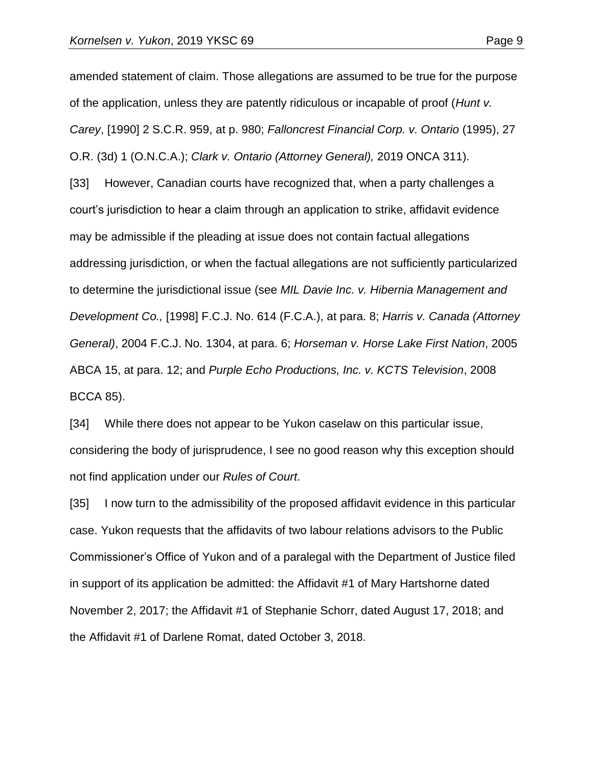amended statement of claim. Those allegations are assumed to be true for the purpose of the application, unless they are patently ridiculous or incapable of proof (*Hunt v. Carey*, [1990] 2 S.C.R. 959, at p. 980; *Falloncrest Financial Corp. v. Ontario* (1995), 27 O.R. (3d) 1 (O.N.C.A.); *Clark v. Ontario (Attorney General),* 2019 ONCA 311). [33] However, Canadian courts have recognized that, when a party challenges a court's jurisdiction to hear a claim through an application to strike, affidavit evidence may be admissible if the pleading at issue does not contain factual allegations addressing jurisdiction, or when the factual allegations are not sufficiently particularized to determine the jurisdictional issue (see *MIL Davie Inc. v. Hibernia Management and Development Co.,* [1998] F.C.J. No. 614 (F.C.A.), at para. 8; *Harris v. Canada (Attorney General)*, 2004 F.C.J. No. 1304, at para. 6; *Horseman v. Horse Lake First Nation*, 2005 ABCA 15, at para. 12; and *Purple Echo Productions, Inc. v. KCTS Television*, 2008 BCCA 85).

[34] While there does not appear to be Yukon caselaw on this particular issue, considering the body of jurisprudence, I see no good reason why this exception should not find application under our *Rules of Court*.

[35] I now turn to the admissibility of the proposed affidavit evidence in this particular case. Yukon requests that the affidavits of two labour relations advisors to the Public Commissioner's Office of Yukon and of a paralegal with the Department of Justice filed in support of its application be admitted: the Affidavit #1 of Mary Hartshorne dated November 2, 2017; the Affidavit #1 of Stephanie Schorr, dated August 17, 2018; and the Affidavit #1 of Darlene Romat, dated October 3, 2018.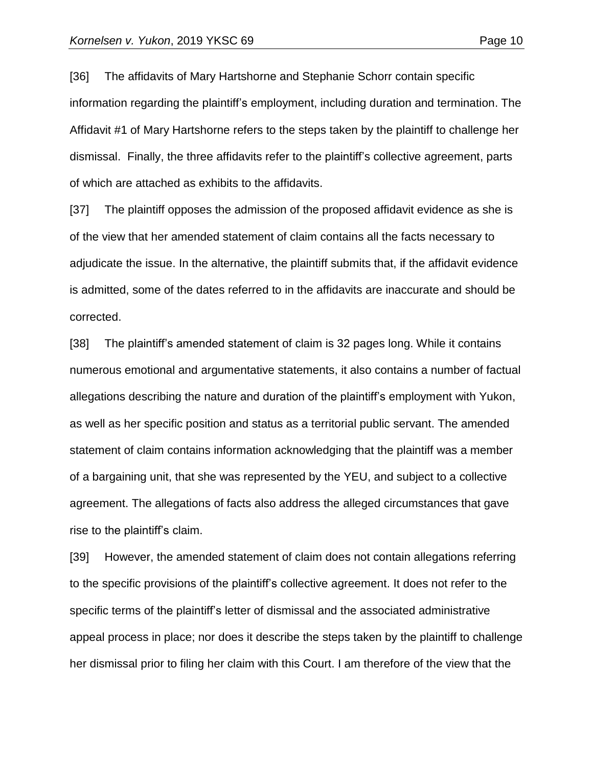[36] The affidavits of Mary Hartshorne and Stephanie Schorr contain specific information regarding the plaintiff's employment, including duration and termination. The Affidavit #1 of Mary Hartshorne refers to the steps taken by the plaintiff to challenge her dismissal. Finally, the three affidavits refer to the plaintiff's collective agreement, parts of which are attached as exhibits to the affidavits.

[37] The plaintiff opposes the admission of the proposed affidavit evidence as she is of the view that her amended statement of claim contains all the facts necessary to adjudicate the issue. In the alternative, the plaintiff submits that, if the affidavit evidence is admitted, some of the dates referred to in the affidavits are inaccurate and should be corrected.

[38] The plaintiff's amended statement of claim is 32 pages long. While it contains numerous emotional and argumentative statements, it also contains a number of factual allegations describing the nature and duration of the plaintiff's employment with Yukon, as well as her specific position and status as a territorial public servant. The amended statement of claim contains information acknowledging that the plaintiff was a member of a bargaining unit, that she was represented by the YEU, and subject to a collective agreement. The allegations of facts also address the alleged circumstances that gave rise to the plaintiff's claim.

[39] However, the amended statement of claim does not contain allegations referring to the specific provisions of the plaintiff's collective agreement. It does not refer to the specific terms of the plaintiff's letter of dismissal and the associated administrative appeal process in place; nor does it describe the steps taken by the plaintiff to challenge her dismissal prior to filing her claim with this Court. I am therefore of the view that the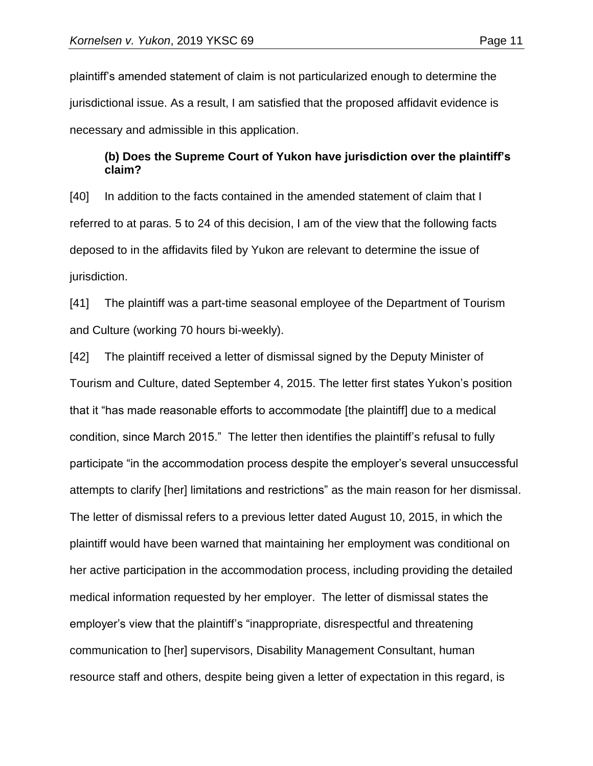plaintiff's amended statement of claim is not particularized enough to determine the jurisdictional issue. As a result, I am satisfied that the proposed affidavit evidence is necessary and admissible in this application.

#### **(b) Does the Supreme Court of Yukon have jurisdiction over the plaintiff's claim?**

[40] In addition to the facts contained in the amended statement of claim that I referred to at paras. 5 to 24 of this decision, I am of the view that the following facts deposed to in the affidavits filed by Yukon are relevant to determine the issue of jurisdiction.

[41] The plaintiff was a part-time seasonal employee of the Department of Tourism and Culture (working 70 hours bi-weekly).

[42] The plaintiff received a letter of dismissal signed by the Deputy Minister of Tourism and Culture, dated September 4, 2015. The letter first states Yukon's position that it "has made reasonable efforts to accommodate [the plaintiff] due to a medical condition, since March 2015." The letter then identifies the plaintiff's refusal to fully participate "in the accommodation process despite the employer's several unsuccessful attempts to clarify [her] limitations and restrictions" as the main reason for her dismissal. The letter of dismissal refers to a previous letter dated August 10, 2015, in which the plaintiff would have been warned that maintaining her employment was conditional on her active participation in the accommodation process, including providing the detailed medical information requested by her employer. The letter of dismissal states the employer's view that the plaintiff's "inappropriate, disrespectful and threatening communication to [her] supervisors, Disability Management Consultant, human resource staff and others, despite being given a letter of expectation in this regard, is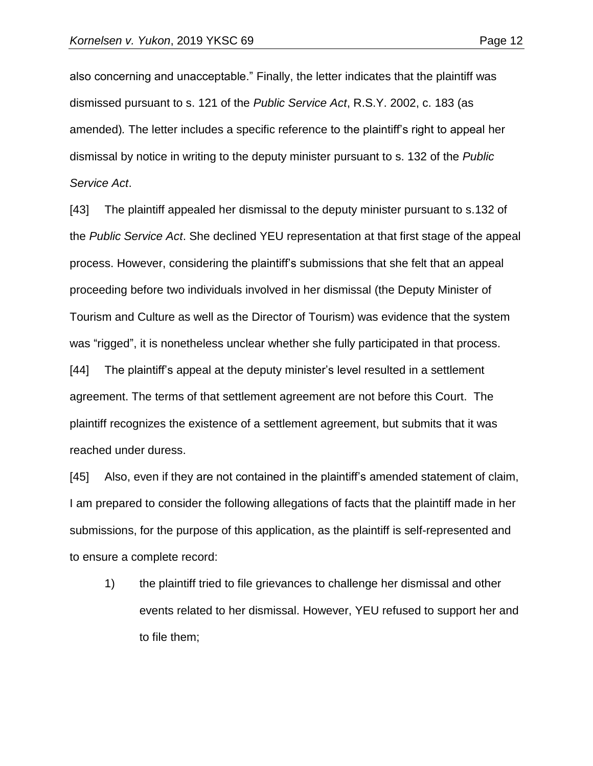also concerning and unacceptable." Finally, the letter indicates that the plaintiff was dismissed pursuant to s. 121 of the *Public Service Act*, R.S.Y. 2002, c. 183 (as amended)*.* The letter includes a specific reference to the plaintiff's right to appeal her dismissal by notice in writing to the deputy minister pursuant to s. 132 of the *Public Service Act*.

[43] The plaintiff appealed her dismissal to the deputy minister pursuant to s.132 of the *Public Service Act*. She declined YEU representation at that first stage of the appeal process. However, considering the plaintiff's submissions that she felt that an appeal proceeding before two individuals involved in her dismissal (the Deputy Minister of Tourism and Culture as well as the Director of Tourism) was evidence that the system was "rigged", it is nonetheless unclear whether she fully participated in that process.

[44] The plaintiff's appeal at the deputy minister's level resulted in a settlement agreement. The terms of that settlement agreement are not before this Court. The plaintiff recognizes the existence of a settlement agreement, but submits that it was reached under duress.

[45] Also, even if they are not contained in the plaintiff's amended statement of claim, I am prepared to consider the following allegations of facts that the plaintiff made in her submissions, for the purpose of this application, as the plaintiff is self-represented and to ensure a complete record:

1) the plaintiff tried to file grievances to challenge her dismissal and other events related to her dismissal. However, YEU refused to support her and to file them;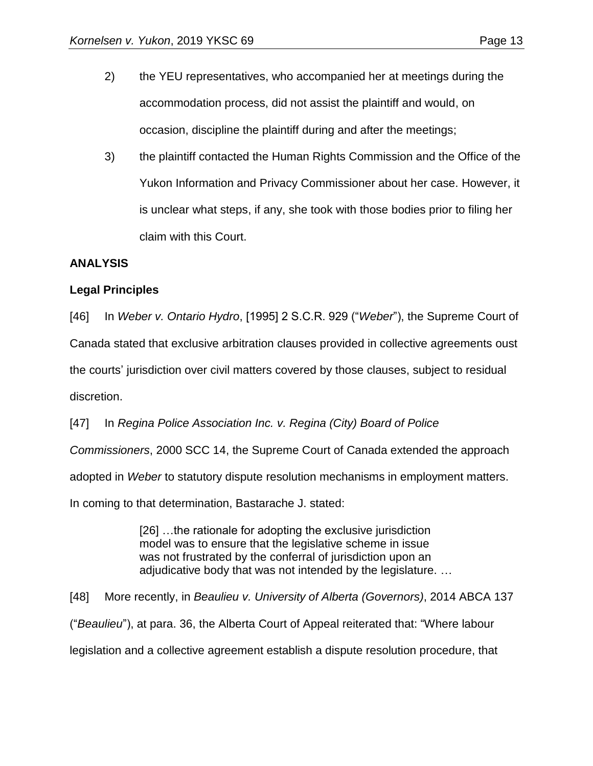3) the plaintiff contacted the Human Rights Commission and the Office of the Yukon Information and Privacy Commissioner about her case. However, it is unclear what steps, if any, she took with those bodies prior to filing her claim with this Court.

#### **ANALYSIS**

## **Legal Principles**

[46] In *Weber v. Ontario Hydro*, [1995] 2 S.C.R. 929 ("*Weber*"), the Supreme Court of Canada stated that exclusive arbitration clauses provided in collective agreements oust the courts' jurisdiction over civil matters covered by those clauses, subject to residual discretion.

[47] In *Regina Police Association Inc. v. Regina (City) Board of Police Commissioners*, 2000 SCC 14, the Supreme Court of Canada extended the approach adopted in *Weber* to statutory dispute resolution mechanisms in employment matters.

In coming to that determination, Bastarache J. stated:

[26] …the rationale for adopting the exclusive jurisdiction model was to ensure that the legislative scheme in issue was not frustrated by the conferral of jurisdiction upon an adjudicative body that was not intended by the legislature. …

[48] More recently, in *Beaulieu v. University of Alberta (Governors)*, 2014 ABCA 137 ("*Beaulieu*"), at para. 36, the Alberta Court of Appeal reiterated that: "Where labour legislation and a collective agreement establish a dispute resolution procedure, that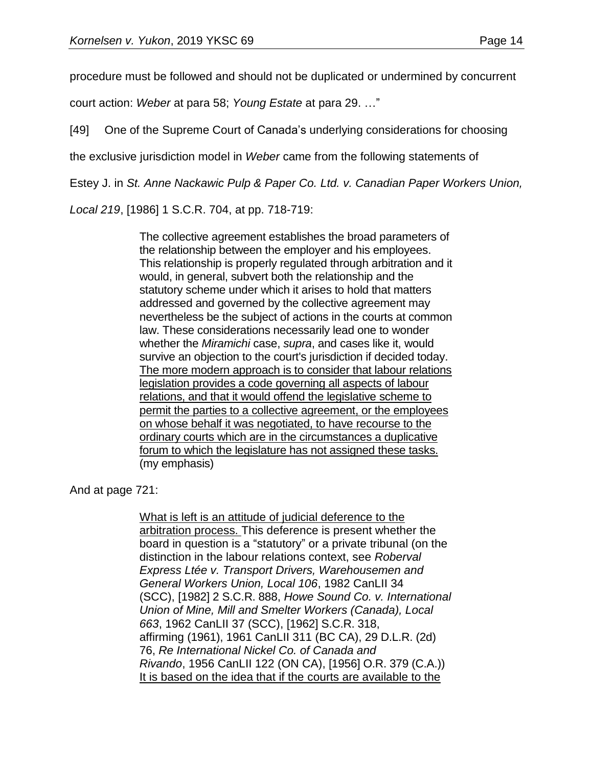procedure must be followed and should not be duplicated or undermined by concurrent

court action: *Weber* at para 58; *Young Estate* at para 29. …"

[49] One of the Supreme Court of Canada's underlying considerations for choosing

the exclusive jurisdiction model in *Weber* came from the following statements of

Estey J. in *St. Anne Nackawic Pulp & Paper Co. Ltd. v. Canadian Paper Workers Union,*

*Local 219*, [1986] 1 S.C.R. 704, at pp. 718-719:

The collective agreement establishes the broad parameters of the relationship between the employer and his employees. This relationship is properly regulated through arbitration and it would, in general, subvert both the relationship and the statutory scheme under which it arises to hold that matters addressed and governed by the collective agreement may nevertheless be the subject of actions in the courts at common law. These considerations necessarily lead one to wonder whether the *Miramichi* case, *supra*, and cases like it, would survive an objection to the court's jurisdiction if decided today. The more modern approach is to consider that labour relations legislation provides a code governing all aspects of labour relations, and that it would offend the legislative scheme to permit the parties to a collective agreement, or the employees on whose behalf it was negotiated, to have recourse to the ordinary courts which are in the circumstances a duplicative forum to which the legislature has not assigned these tasks. (my emphasis)

And at page 721:

What is left is an attitude of judicial deference to the arbitration process. This deference is present whether the board in question is a "statutory" or a private tribunal (on the distinction in the labour relations context, see *Roberval Express Ltée v. Transport Drivers, Warehousemen and General Workers Union, Local 106*, [1982 CanLII 34](https://www.canlii.org/en/ca/scc/doc/1982/1982canlii34/1982canlii34.html)  [\(SCC\),](https://www.canlii.org/en/ca/scc/doc/1982/1982canlii34/1982canlii34.html) [1982] 2 S.C.R. 888, *Howe Sound Co. v. International Union of Mine, Mill and Smelter Workers (Canada), Local 663*, [1962 CanLII 37 \(SCC\),](https://www.canlii.org/en/ca/scc/doc/1962/1962canlii37/1962canlii37.html) [1962] S.C.R. 318, affirming (1961), [1961 CanLII 311 \(BC CA\),](https://www.canlii.org/en/bc/bcca/doc/1961/1961canlii311/1961canlii311.html) 29 D.L.R. (2d) 76, *Re International Nickel Co. of Canada and Rivando*, [1956 CanLII 122 \(ON CA\),](https://www.canlii.org/en/on/onca/doc/1956/1956canlii122/1956canlii122.html) [1956] O.R. 379 (C.A.)) It is based on the idea that if the courts are available to the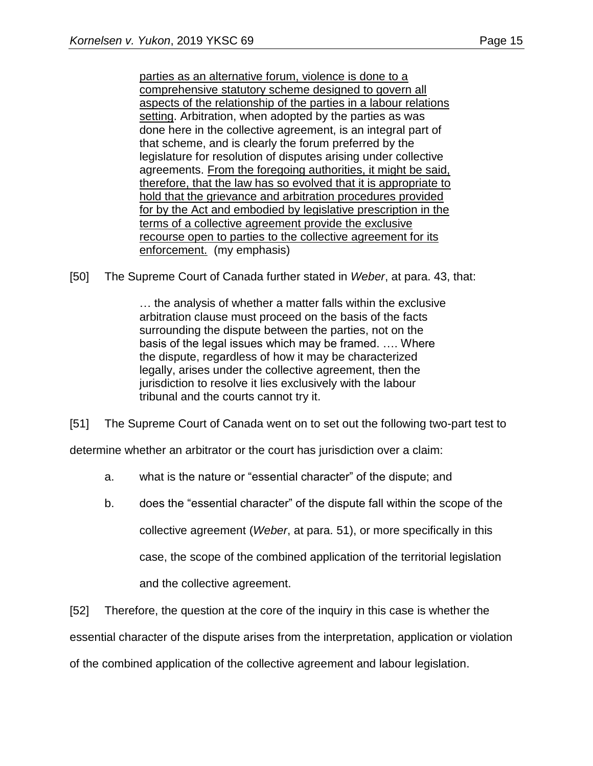parties as an alternative forum, violence is done to a comprehensive statutory scheme designed to govern all aspects of the relationship of the parties in a labour relations setting. Arbitration, when adopted by the parties as was done here in the collective agreement, is an integral part of that scheme, and is clearly the forum preferred by the legislature for resolution of disputes arising under collective agreements. From the foregoing authorities, it might be said, therefore, that the law has so evolved that it is appropriate to hold that the grievance and arbitration procedures provided for by the Act and embodied by legislative prescription in the terms of a collective agreement provide the exclusive recourse open to parties to the collective agreement for its enforcement. (my emphasis)

[50] The Supreme Court of Canada further stated in *Weber*, at para. 43, that:

… the analysis of whether a matter falls within the exclusive arbitration clause must proceed on the basis of the facts surrounding the dispute between the parties, not on the basis of the legal issues which may be framed. …. Where the dispute, regardless of how it may be characterized legally, arises under the collective agreement, then the jurisdiction to resolve it lies exclusively with the labour tribunal and the courts cannot try it.

[51] The Supreme Court of Canada went on to set out the following two-part test to

determine whether an arbitrator or the court has jurisdiction over a claim:

- a. what is the nature or "essential character" of the dispute; and
- b. does the "essential character" of the dispute fall within the scope of the collective agreement (*Weber*, at para. 51), or more specifically in this case, the scope of the combined application of the territorial legislation and the collective agreement.

[52] Therefore, the question at the core of the inquiry in this case is whether the essential character of the dispute arises from the interpretation, application or violation of the combined application of the collective agreement and labour legislation.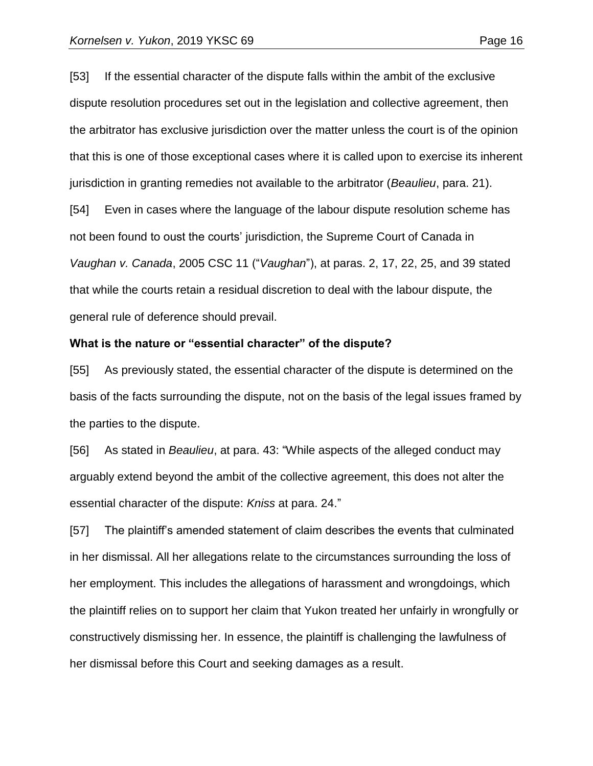[53] If the essential character of the dispute falls within the ambit of the exclusive dispute resolution procedures set out in the legislation and collective agreement, then the arbitrator has exclusive jurisdiction over the matter unless the court is of the opinion that this is one of those exceptional cases where it is called upon to exercise its inherent jurisdiction in granting remedies not available to the arbitrator (*Beaulieu*, para. 21).

[54] Even in cases where the language of the labour dispute resolution scheme has not been found to oust the courts' jurisdiction, the Supreme Court of Canada in *Vaughan v. Canada*, 2005 CSC 11 ("*Vaughan*"), at paras. 2, 17, 22, 25, and 39 stated that while the courts retain a residual discretion to deal with the labour dispute, the general rule of deference should prevail.

#### **What is the nature or "essential character" of the dispute?**

[55] As previously stated, the essential character of the dispute is determined on the basis of the facts surrounding the dispute, not on the basis of the legal issues framed by the parties to the dispute.

[56] As stated in *Beaulieu*, at para. 43: "While aspects of the alleged conduct may arguably extend beyond the ambit of the collective agreement, this does not alter the essential character of the dispute: *Kniss* at para. 24."

[57] The plaintiff's amended statement of claim describes the events that culminated in her dismissal. All her allegations relate to the circumstances surrounding the loss of her employment. This includes the allegations of harassment and wrongdoings, which the plaintiff relies on to support her claim that Yukon treated her unfairly in wrongfully or constructively dismissing her. In essence, the plaintiff is challenging the lawfulness of her dismissal before this Court and seeking damages as a result.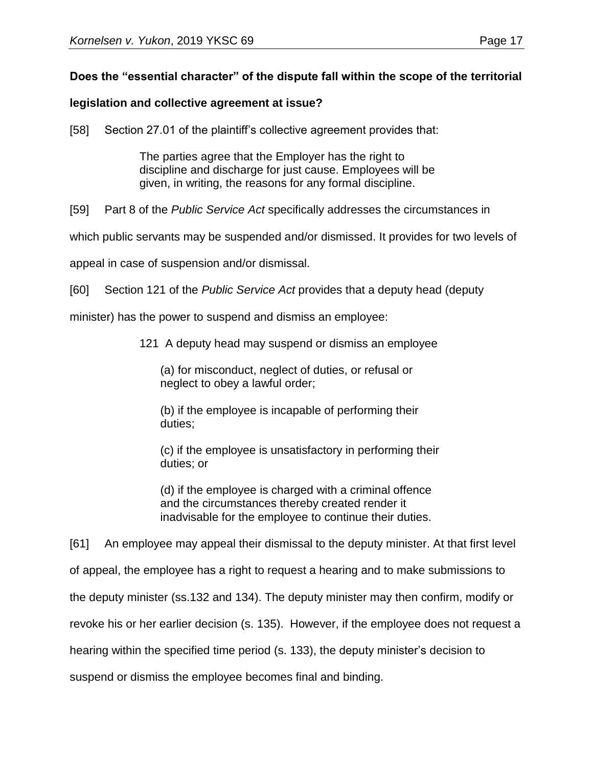# **Does the "essential character" of the dispute fall within the scope of the territorial**

## **legislation and collective agreement at issue?**

[58] Section 27.01 of the plaintiff's collective agreement provides that:

The parties agree that the Employer has the right to discipline and discharge for just cause. Employees will be given, in writing, the reasons for any formal discipline.

[59] Part 8 of the *Public Service Act* specifically addresses the circumstances in

which public servants may be suspended and/or dismissed. It provides for two levels of

appeal in case of suspension and/or dismissal.

[60] Section 121 of the *Public Service Act* provides that a deputy head (deputy

minister) has the power to suspend and dismiss an employee:

121 A deputy head may suspend or dismiss an employee

(a) for misconduct, neglect of duties, or refusal or neglect to obey a lawful order;

(b) if the employee is incapable of performing their duties;

(c) if the employee is unsatisfactory in performing their duties; or

(d) if the employee is charged with a criminal offence and the circumstances thereby created render it inadvisable for the employee to continue their duties.

[61] An employee may appeal their dismissal to the deputy minister. At that first level of appeal, the employee has a right to request a hearing and to make submissions to the deputy minister (ss.132 and 134). The deputy minister may then confirm, modify or revoke his or her earlier decision (s. 135). However, if the employee does not request a hearing within the specified time period (s. 133), the deputy minister's decision to suspend or dismiss the employee becomes final and binding.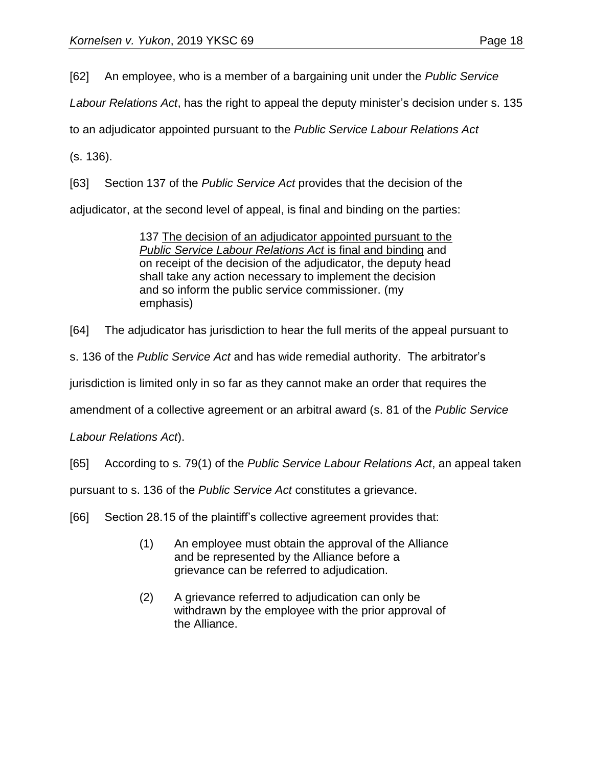[62] An employee, who is a member of a bargaining unit under the *Public Service* 

*Labour Relations Act*, has the right to appeal the deputy minister's decision under s. 135

to an adjudicator appointed pursuant to the *Public Service Labour Relations Act*

(s. 136).

[63] Section 137 of the *Public Service Act* provides that the decision of the

adjudicator, at the second level of appeal, is final and binding on the parties:

137 The decision of an adjudicator appointed pursuant to the *Public Service Labour Relations Act* is final and binding and on receipt of the decision of the adjudicator, the deputy head shall take any action necessary to implement the decision and so inform the public service commissioner. (my emphasis)

[64] The adjudicator has jurisdiction to hear the full merits of the appeal pursuant to

s. 136 of the *Public Service Act* and has wide remedial authority. The arbitrator's

jurisdiction is limited only in so far as they cannot make an order that requires the

amendment of a collective agreement or an arbitral award (s. 81 of the *Public Service* 

*Labour Relations Act*).

[65] According to s. 79(1) of the *Public Service Labour Relations Act*, an appeal taken

pursuant to s. 136 of the *Public Service Act* constitutes a grievance.

- [66] Section 28.15 of the plaintiff's collective agreement provides that:
	- (1) An employee must obtain the approval of the Alliance and be represented by the Alliance before a grievance can be referred to adjudication.
	- (2) A grievance referred to adjudication can only be withdrawn by the employee with the prior approval of the Alliance.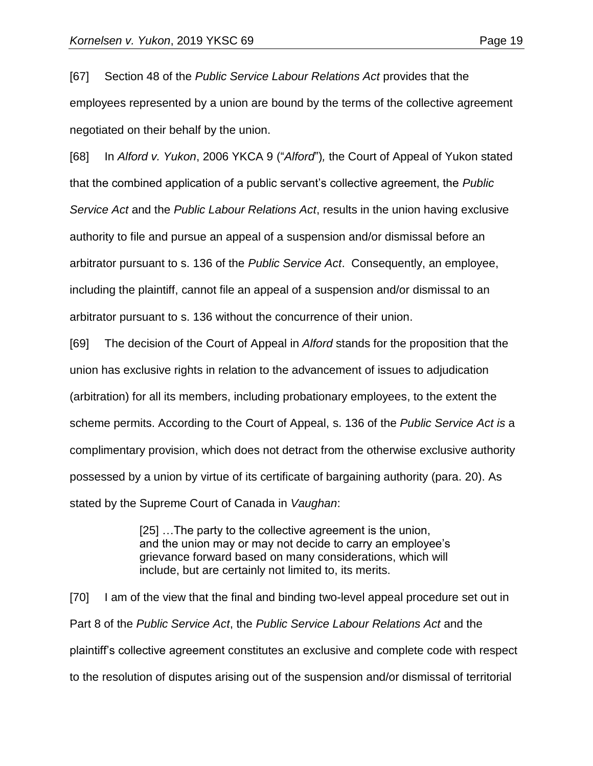[67] Section 48 of the *Public Service Labour Relations Act* provides that the employees represented by a union are bound by the terms of the collective agreement negotiated on their behalf by the union.

[68] In *Alford v. Yukon*, 2006 YKCA 9 ("*Alford*")*,* the Court of Appeal of Yukon stated that the combined application of a public servant's collective agreement, the *Public Service Act* and the *Public Labour Relations Act*, results in the union having exclusive authority to file and pursue an appeal of a suspension and/or dismissal before an arbitrator pursuant to s. 136 of the *Public Service Act*. Consequently, an employee, including the plaintiff, cannot file an appeal of a suspension and/or dismissal to an arbitrator pursuant to s. 136 without the concurrence of their union.

[69] The decision of the Court of Appeal in *Alford* stands for the proposition that the union has exclusive rights in relation to the advancement of issues to adjudication (arbitration) for all its members, including probationary employees, to the extent the scheme permits. According to the Court of Appeal, s. 136 of the *Public Service Act is* a complimentary provision, which does not detract from the otherwise exclusive authority possessed by a union by virtue of its certificate of bargaining authority (para. 20). As stated by the Supreme Court of Canada in *Vaughan*:

> [25] …The party to the collective agreement is the union, and the union may or may not decide to carry an employee's grievance forward based on many considerations, which will include, but are certainly not limited to, its merits.

[70] I am of the view that the final and binding two-level appeal procedure set out in Part 8 of the *Public Service Act*, the *Public Service Labour Relations Act* and the plaintiff's collective agreement constitutes an exclusive and complete code with respect to the resolution of disputes arising out of the suspension and/or dismissal of territorial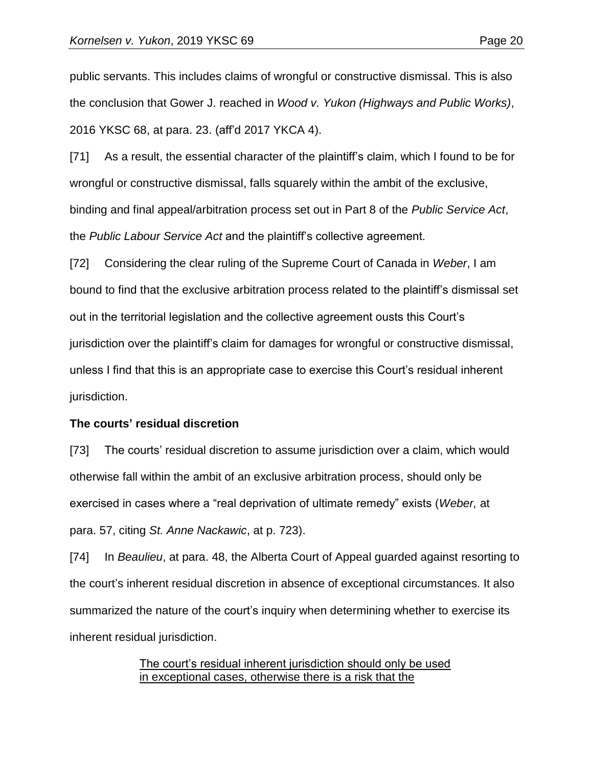public servants. This includes claims of wrongful or constructive dismissal. This is also the conclusion that Gower J. reached in *Wood v. Yukon (Highways and Public Works)*, 2016 YKSC 68, at para. 23. (aff'd 2017 YKCA 4).

[71] As a result, the essential character of the plaintiff's claim, which I found to be for wrongful or constructive dismissal, falls squarely within the ambit of the exclusive, binding and final appeal/arbitration process set out in Part 8 of the *Public Service Act*, the *Public Labour Service Act* and the plaintiff's collective agreement.

[72] Considering the clear ruling of the Supreme Court of Canada in *Weber*, I am bound to find that the exclusive arbitration process related to the plaintiff's dismissal set out in the territorial legislation and the collective agreement ousts this Court's jurisdiction over the plaintiff's claim for damages for wrongful or constructive dismissal, unless I find that this is an appropriate case to exercise this Court's residual inherent jurisdiction.

#### **The courts' residual discretion**

[73] The courts' residual discretion to assume jurisdiction over a claim, which would otherwise fall within the ambit of an exclusive arbitration process, should only be exercised in cases where a "real deprivation of ultimate remedy" exists (*Weber,* at para. 57, citing *St. Anne Nackawic*, at p. 723).

[74] In *Beaulieu*, at para. 48, the Alberta Court of Appeal guarded against resorting to the court's inherent residual discretion in absence of exceptional circumstances. It also summarized the nature of the court's inquiry when determining whether to exercise its inherent residual jurisdiction.

> The court's residual inherent jurisdiction should only be used in exceptional cases, otherwise there is a risk that the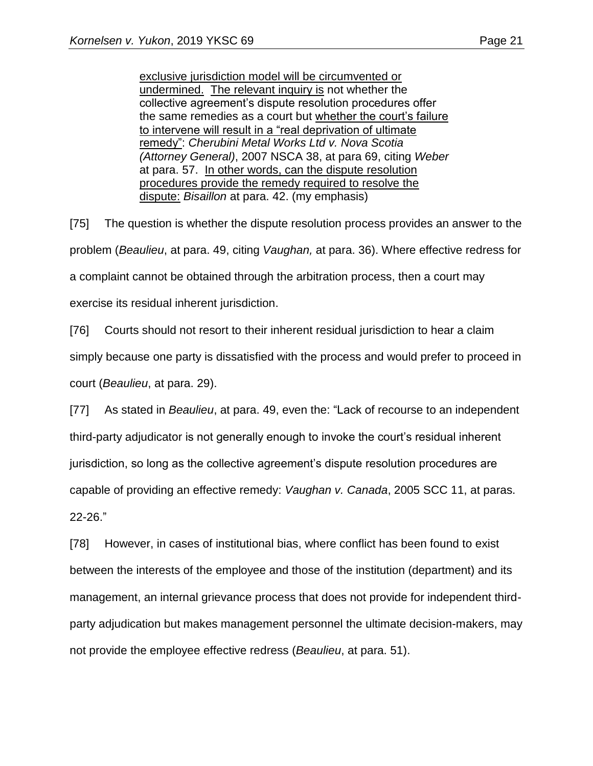exclusive jurisdiction model will be circumvented or undermined. The relevant inquiry is not whether the collective agreement's dispute resolution procedures offer the same remedies as a court but whether the court's failure to intervene will result in a "real deprivation of ultimate remedy": *Cherubini Metal Works Ltd v. Nova Scotia (Attorney General)*, 2007 NSCA 38, at para 69, citing *Weber* at para. 57. In other words, can the dispute resolution procedures provide the remedy required to resolve the dispute: *Bisaillon* at para. 42. (my emphasis)

[75] The question is whether the dispute resolution process provides an answer to the problem (*Beaulieu*, at para. 49, citing *Vaughan,* at para. 36). Where effective redress for a complaint cannot be obtained through the arbitration process, then a court may exercise its residual inherent jurisdiction.

[76] Courts should not resort to their inherent residual jurisdiction to hear a claim simply because one party is dissatisfied with the process and would prefer to proceed in court (*Beaulieu*, at para. 29).

[77] As stated in *Beaulieu*, at para. 49, even the: "Lack of recourse to an independent third-party adjudicator is not generally enough to invoke the court's residual inherent jurisdiction, so long as the collective agreement's dispute resolution procedures are capable of providing an effective remedy: *Vaughan v. Canada*, 2005 SCC 11, at paras. 22-26."

[78] However, in cases of institutional bias, where conflict has been found to exist between the interests of the employee and those of the institution (department) and its management, an internal grievance process that does not provide for independent thirdparty adjudication but makes management personnel the ultimate decision-makers, may not provide the employee effective redress (*Beaulieu*, at para. 51).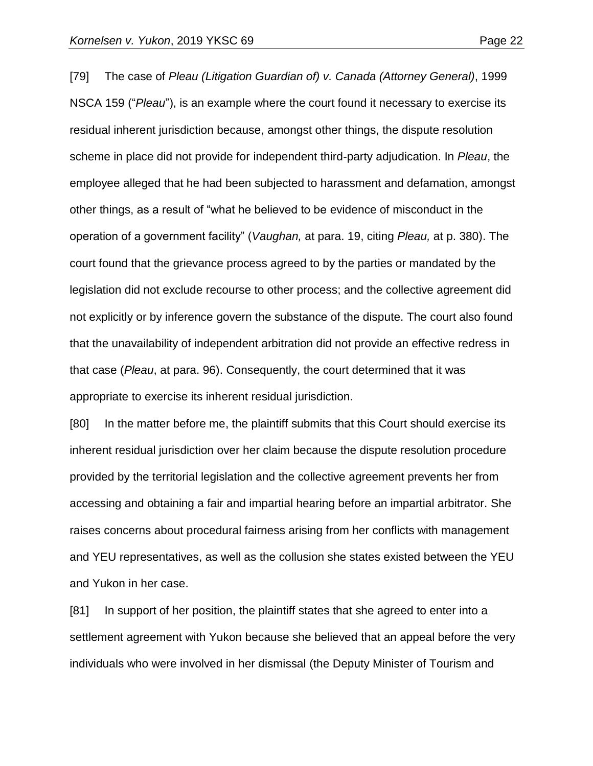[79] The case of *Pleau (Litigation Guardian of) v. Canada (Attorney General)*, 1999 NSCA 159 ("*Pleau*"), is an example where the court found it necessary to exercise its residual inherent jurisdiction because, amongst other things, the dispute resolution scheme in place did not provide for independent third-party adjudication. In *Pleau*, the employee alleged that he had been subjected to harassment and defamation, amongst other things, as a result of "what he believed to be evidence of misconduct in the operation of a government facility" (*Vaughan,* at para. 19, citing *Pleau,* at p. 380). The court found that the grievance process agreed to by the parties or mandated by the legislation did not exclude recourse to other process; and the collective agreement did not explicitly or by inference govern the substance of the dispute. The court also found that the unavailability of independent arbitration did not provide an effective redress in that case (*Pleau*, at para. 96). Consequently, the court determined that it was appropriate to exercise its inherent residual jurisdiction.

[80] In the matter before me, the plaintiff submits that this Court should exercise its inherent residual jurisdiction over her claim because the dispute resolution procedure provided by the territorial legislation and the collective agreement prevents her from accessing and obtaining a fair and impartial hearing before an impartial arbitrator. She raises concerns about procedural fairness arising from her conflicts with management and YEU representatives, as well as the collusion she states existed between the YEU and Yukon in her case.

[81] In support of her position, the plaintiff states that she agreed to enter into a settlement agreement with Yukon because she believed that an appeal before the very individuals who were involved in her dismissal (the Deputy Minister of Tourism and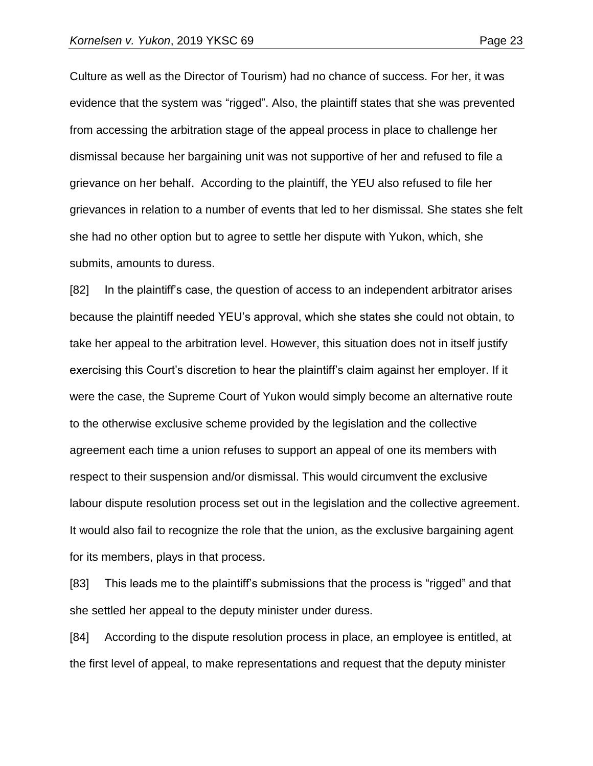Culture as well as the Director of Tourism) had no chance of success. For her, it was evidence that the system was "rigged". Also, the plaintiff states that she was prevented from accessing the arbitration stage of the appeal process in place to challenge her dismissal because her bargaining unit was not supportive of her and refused to file a grievance on her behalf. According to the plaintiff, the YEU also refused to file her grievances in relation to a number of events that led to her dismissal. She states she felt she had no other option but to agree to settle her dispute with Yukon, which, she submits, amounts to duress.

[82] In the plaintiff's case, the question of access to an independent arbitrator arises because the plaintiff needed YEU's approval, which she states she could not obtain, to take her appeal to the arbitration level. However, this situation does not in itself justify exercising this Court's discretion to hear the plaintiff's claim against her employer. If it were the case, the Supreme Court of Yukon would simply become an alternative route to the otherwise exclusive scheme provided by the legislation and the collective agreement each time a union refuses to support an appeal of one its members with respect to their suspension and/or dismissal. This would circumvent the exclusive labour dispute resolution process set out in the legislation and the collective agreement. It would also fail to recognize the role that the union, as the exclusive bargaining agent for its members, plays in that process.

[83] This leads me to the plaintiff's submissions that the process is "rigged" and that she settled her appeal to the deputy minister under duress.

[84] According to the dispute resolution process in place, an employee is entitled, at the first level of appeal, to make representations and request that the deputy minister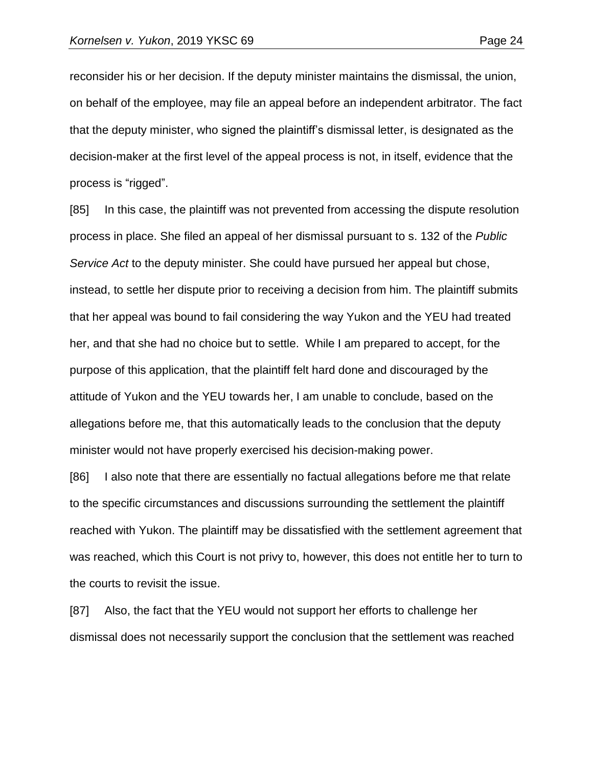reconsider his or her decision. If the deputy minister maintains the dismissal, the union, on behalf of the employee, may file an appeal before an independent arbitrator. The fact that the deputy minister, who signed the plaintiff's dismissal letter, is designated as the decision-maker at the first level of the appeal process is not, in itself, evidence that the process is "rigged".

[85] In this case, the plaintiff was not prevented from accessing the dispute resolution process in place. She filed an appeal of her dismissal pursuant to s. 132 of the *Public Service Act* to the deputy minister. She could have pursued her appeal but chose, instead, to settle her dispute prior to receiving a decision from him. The plaintiff submits that her appeal was bound to fail considering the way Yukon and the YEU had treated her, and that she had no choice but to settle. While I am prepared to accept, for the purpose of this application, that the plaintiff felt hard done and discouraged by the attitude of Yukon and the YEU towards her, I am unable to conclude, based on the allegations before me, that this automatically leads to the conclusion that the deputy minister would not have properly exercised his decision-making power.

[86] I also note that there are essentially no factual allegations before me that relate to the specific circumstances and discussions surrounding the settlement the plaintiff reached with Yukon. The plaintiff may be dissatisfied with the settlement agreement that was reached, which this Court is not privy to, however, this does not entitle her to turn to the courts to revisit the issue.

[87] Also, the fact that the YEU would not support her efforts to challenge her dismissal does not necessarily support the conclusion that the settlement was reached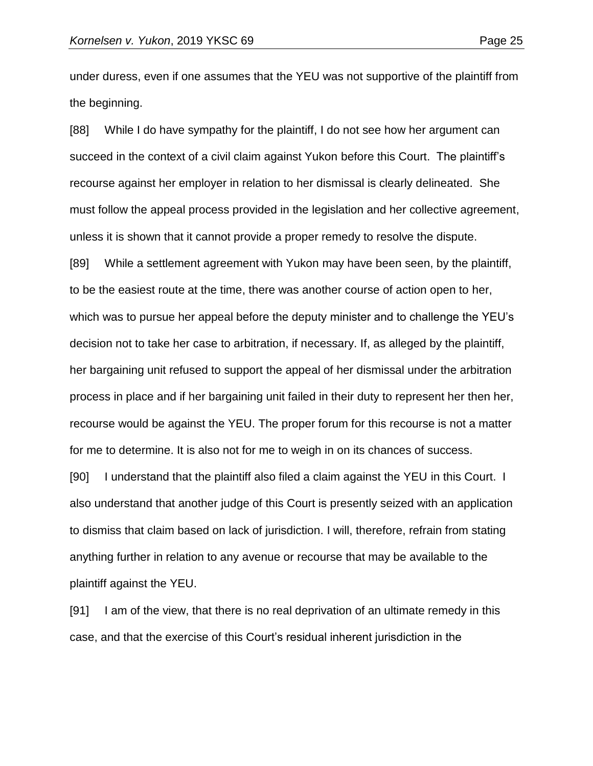under duress, even if one assumes that the YEU was not supportive of the plaintiff from the beginning.

[88] While I do have sympathy for the plaintiff, I do not see how her argument can succeed in the context of a civil claim against Yukon before this Court. The plaintiff's recourse against her employer in relation to her dismissal is clearly delineated. She must follow the appeal process provided in the legislation and her collective agreement, unless it is shown that it cannot provide a proper remedy to resolve the dispute.

[89] While a settlement agreement with Yukon may have been seen, by the plaintiff, to be the easiest route at the time, there was another course of action open to her, which was to pursue her appeal before the deputy minister and to challenge the YEU's decision not to take her case to arbitration, if necessary. If, as alleged by the plaintiff, her bargaining unit refused to support the appeal of her dismissal under the arbitration process in place and if her bargaining unit failed in their duty to represent her then her, recourse would be against the YEU. The proper forum for this recourse is not a matter for me to determine. It is also not for me to weigh in on its chances of success.

[90] I understand that the plaintiff also filed a claim against the YEU in this Court. I also understand that another judge of this Court is presently seized with an application to dismiss that claim based on lack of jurisdiction. I will, therefore, refrain from stating anything further in relation to any avenue or recourse that may be available to the plaintiff against the YEU.

[91] I am of the view, that there is no real deprivation of an ultimate remedy in this case, and that the exercise of this Court's residual inherent jurisdiction in the